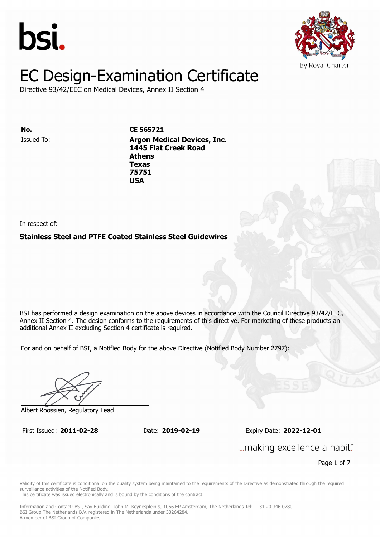



Directive 93/42/EEC on Medical Devices, Annex II Section 4

**ISSUED 20. Inc. CE 565721 1445 Flat Creek Road Athens** Issued To: **Argon Medical Devices, Inc. Texas 1445 Flat Creek Road 75751 Athens Texas 75751 USA**

In respect of:

### **Stainless Steel and PTFE Coated Stainless Steel Guidewires**

BSI has performed a design examination on the above devices in accordance with the Council Directive 93/42/EEC, Annex II Section 4. The design conforms to the requirements of this directive. For marketing of these products an additional Annex II excluding Section 4 certificate is required.

For and on behalf of BSI, a Notified Body for the above Directive (Notified Body Number 2797):

Albert Roossien, Regulatory Lead

First Issued: **2011-02-28** Date: **2019-02-19** Expiry Date: **2022-12-01** First Issued: **2011-02-28** Date: **2019-02-19** Expiry Date: **2022-12-01**

... making excellence a habit."

Page 1 of 7

Validity of this certificate is conditional on the quality system being maintained to the requirements of the Directive as demonstrated through the required surveillance activities of the Notified Body.

This certificate was issued electronically and is bound by the conditions of the contract.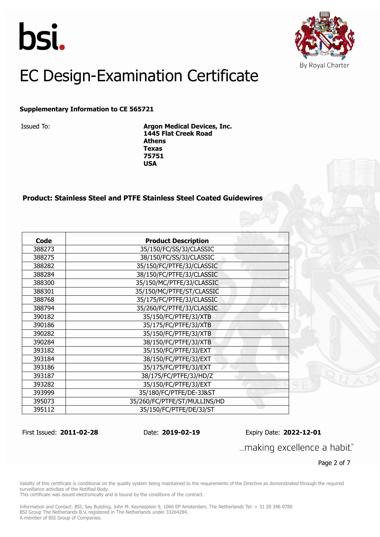



#### **Supplementary Information to CE 565721**

Issued To: **Argon Medical Devices, Inc. 1445 Flat Creek Road Athens Texas 75751 USA**

#### **Product: Stainless Steel and PTFE Stainless Steel Coated Guidewires**

| Code   | <b>Product Description</b>   |
|--------|------------------------------|
| 388273 | 35/150/FC/SS/3J/CLASSIC      |
| 388275 | 38/150/FC/SS/3J/CLASSIC      |
| 388282 | 35/150/FC/PTFE/3J/CLASSIC    |
| 388284 | 38/150/FC/PTFE/3J/CLASSIC    |
| 388300 | 35/150/MC/PTFE/3J/CLASSIC    |
| 388301 | 35/150/MC/PTFE/ST/CLASSIC    |
| 388768 | 35/175/FC/PTFE/3J/CLASSIC    |
| 388794 | 35/260/FC/PTFE/3J/CLASSIC    |
| 390182 | 35/150/FC/PTFE/3J/XTB        |
| 390186 | 35/175/FC/PTFE/3J/XTB        |
| 390282 | 35/150/FC/PTFE/3J/XTB        |
| 390284 | 38/150/FC/PTFE/3J/XTB        |
| 393182 | 35/150/FC/PTFE/3J/EXT        |
| 393184 | 38/150/FC/PTFE/3J/EXT        |
| 393186 | 35/175/FC/PTFE/3J/EXT        |
| 393187 | 38/175/FC/PTFE/3J/HD/Z       |
| 393282 | 35/150/FC/PTFE/3J/EXT        |
| 393999 | 35/180/FC/PTFE/DE-3J&ST      |
| 395073 | 35/260/FC/PTFE/ST/MULLINS/HD |
| 395112 | 35/150/FC/PTFE/DE/3J/ST      |

First Issued: **2011-02-28** Date: **2019-02-19** Expiry Date: **2022-12-01**

... making excellence a habit."

Page 2 of 7

Validity of this certificate is conditional on the quality system being maintained to the requirements of the Directive as demonstrated through the required surveillance activities of the Notified Body.

This certificate was issued electronically and is bound by the conditions of the contract.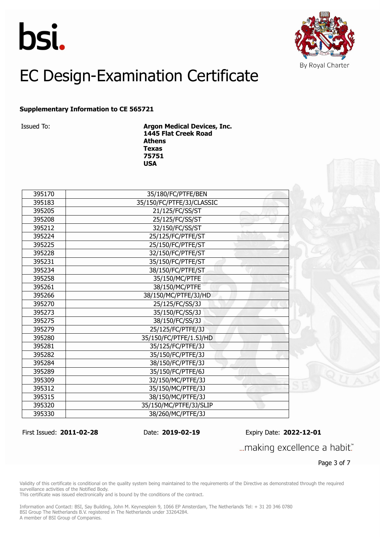



#### **Supplementary Information to CE 565721**

Issued To: **Argon Medical Devices, Inc. 1445 Flat Creek Road Athens Texas USA**

| 395170 | 35/180/FC/PTFE/BEN        |
|--------|---------------------------|
| 395183 | 35/150/FC/PTFE/3J/CLASSIC |
| 395205 | 21/125/FC/SS/ST           |
| 395208 | 25/125/FC/SS/ST           |
| 395212 | 32/150/FC/SS/ST           |
| 395224 | 25/125/FC/PTFE/ST         |
| 395225 | 25/150/FC/PTFE/ST         |
| 395228 | 32/150/FC/PTFE/ST         |
| 395231 | 35/150/FC/PTFE/ST         |
| 395234 | 38/150/FC/PTFE/ST         |
| 395258 | 35/150/MC/PTFE            |
| 395261 | 38/150/MC/PTFE            |
| 395266 | 38/150/MC/PTFE/3J/HD      |
| 395270 | 25/125/FC/SS/3J           |
| 395273 | 35/150/FC/SS/3J           |
| 395275 | 38/150/FC/SS/3J           |
| 395279 | 25/125/FC/PTFE/3J         |
| 395280 | 35/150/FC/PTFE/1.5J/HD    |
| 395281 | 35/125/FC/PTFE/3J         |
| 395282 | 35/150/FC/PTFE/3J         |
| 395284 | 38/150/FC/PTFE/3J         |
| 395289 | 35/150/FC/PTFE/6J         |
| 395309 | 32/150/MC/PTFE/3J         |
| 395312 | 35/150/MC/PTFE/3J         |
| 395315 | 38/150/MC/PTFE/3J         |
| 395320 | 35/150/MC/PTFE/3J/SLIP    |
| 395330 | 38/260/MC/PTFE/3J         |

First Issued: **2011-02-28** Date: **2019-02-19** Expiry Date: **2022-12-01**

... making excellence a habit."

Page 3 of 7

Validity of this certificate is conditional on the quality system being maintained to the requirements of the Directive as demonstrated through the required surveillance activities of the Notified Body.

This certificate was issued electronically and is bound by the conditions of the contract.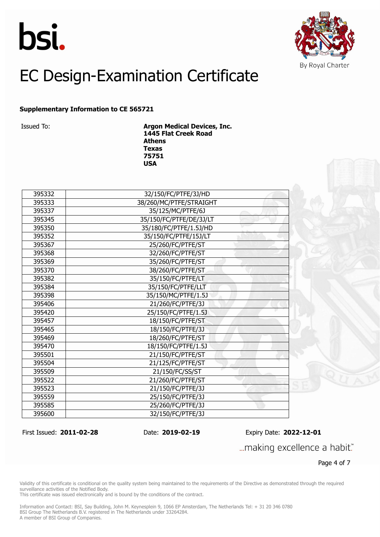



#### **Supplementary Information to CE 565721**

Issued To: **Argon Medical Devices, Inc. 1445 Flat Creek Road Athens Texas USA**

| 395332 | 32/150/FC/PTFE/3J/HD    |
|--------|-------------------------|
| 395333 | 38/260/MC/PTFE/STRAIGHT |
| 395337 | 35/125/MC/PTFE/6J       |
| 395345 | 35/150/FC/PTFE/DE/3J/LT |
| 395350 | 35/180/FC/PTFE/1.5J/HD  |
| 395352 | 35/150/FC/PTFE/15J/LT   |
| 395367 | 25/260/FC/PTFE/ST       |
| 395368 | 32/260/FC/PTFE/ST       |
| 395369 | 35/260/FC/PTFE/ST       |
| 395370 | 38/260/FC/PTFE/ST       |
| 395382 | 35/150/FC/PTFE/LT       |
| 395384 | 35/150/FC/PTFE/LLT      |
| 395398 | 35/150/MC/PTFE/1.5J     |
| 395406 | 21/260/FC/PTFE/3J       |
| 395420 | 25/150/FC/PTFE/1.5J     |
| 395457 | 18/150/FC/PTFE/ST       |
| 395465 | 18/150/FC/PTFE/3J       |
| 395469 | 18/260/FC/PTFE/ST       |
| 395470 | 18/150/FC/PTFE/1.5J     |
| 395501 | 21/150/FC/PTFE/ST       |
| 395504 | 21/125/FC/PTFE/ST       |
| 395509 | 21/150/FC/SS/ST         |
| 395522 | 21/260/FC/PTFE/ST       |
| 395523 | 21/150/FC/PTFE/3J       |
| 395559 | 25/150/FC/PTFE/3J       |
| 395585 | 25/260/FC/PTFE/3J       |
| 395600 | 32/150/FC/PTFE/3J       |
|        |                         |

First Issued: **2011-02-28** Date: **2019-02-19** Expiry Date: **2022-12-01**

... making excellence a habit."

Page 4 of 7

Validity of this certificate is conditional on the quality system being maintained to the requirements of the Directive as demonstrated through the required surveillance activities of the Notified Body.

This certificate was issued electronically and is bound by the conditions of the contract.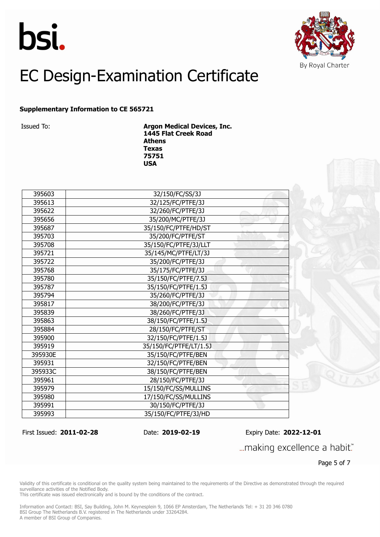



#### **Supplementary Information to CE 565721**

Issued To: **Argon Medical Devices, Inc. 1445 Flat Creek Road Athens Texas 75751 USA**

| 395603  | 32/150/FC/SS/3J        |
|---------|------------------------|
| 395613  | 32/125/FC/PTFE/3J      |
| 395622  | 32/260/FC/PTFE/3J      |
| 395656  | 35/200/MC/PTFE/3J      |
| 395687  | 35/150/FC/PTFE/HD/ST   |
| 395703  | 35/200/FC/PTFE/ST      |
| 395708  | 35/150/FC/PTFE/3J/LLT  |
| 395721  | 35/145/MC/PTFE/LT/3J   |
| 395722  | 35/200/FC/PTFE/3J      |
| 395768  | 35/175/FC/PTFE/3J      |
| 395780  | 35/150/FC/PTFE/7.5J    |
| 395787  | 35/150/FC/PTFE/1.5J    |
| 395794  | 35/260/FC/PTFE/3J      |
| 395817  | 38/200/FC/PTFE/3J      |
| 395839  | 38/260/FC/PTFE/3J      |
| 395863  | 38/150/FC/PTFE/1.5J    |
| 395884  | 28/150/FC/PTFE/ST      |
| 395900  | 32/150/FC/PTFE/1.5J    |
| 395919  | 35/150/FC/PTFE/LT/1.5J |
| 395930E | 35/150/FC/PTFE/BEN     |
| 395931  | 32/150/FC/PTFE/BEN     |
| 395933C | 38/150/FC/PTFE/BEN     |
| 395961  | 28/150/FC/PTFE/3J      |
| 395979  | 15/150/FC/SS/MULLINS   |
| 395980  | 17/150/FC/SS/MULLINS   |
| 395991  | 30/150/FC/PTFE/3J      |
| 395993  | 35/150/FC/PTFE/3J/HD   |

First Issued: **2011-02-28** Date: **2019-02-19** Expiry Date: **2022-12-01**

... making excellence a habit."

Page 5 of 7

Validity of this certificate is conditional on the quality system being maintained to the requirements of the Directive as demonstrated through the required surveillance activities of the Notified Body.

This certificate was issued electronically and is bound by the conditions of the contract.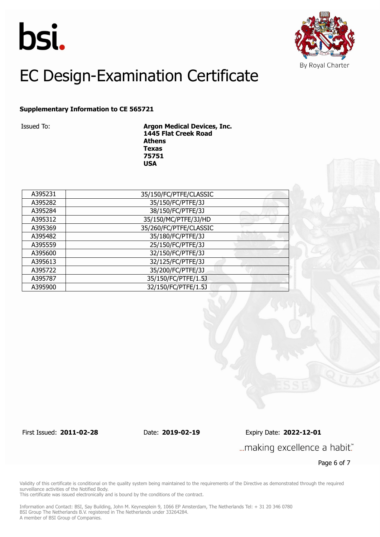



#### **Supplementary Information to CE 565721**

Issued To: **Argon Medical Devices, Inc. 1445 Flat Creek Road Athens Texas 75751 USA**

| A395231 | 35/150/FC/PTFE/CLASSIC |
|---------|------------------------|
| A395282 | 35/150/FC/PTFE/3J      |
| A395284 | 38/150/FC/PTFE/3J      |
| A395312 | 35/150/MC/PTFE/3J/HD   |
| A395369 | 35/260/FC/PTFE/CLASSIC |
| A395482 | 35/180/FC/PTFE/3J      |
| A395559 | 25/150/FC/PTFE/3J      |
| A395600 | 32/150/FC/PTFE/3J      |
| A395613 | 32/125/FC/PTFE/3J      |
| A395722 | 35/200/FC/PTFE/3J      |
| A395787 | 35/150/FC/PTFE/1.5J    |
| A395900 | 32/150/FC/PTFE/1.5J    |

First Issued: **2011-02-28** Date: **2019-02-19** Expiry Date: **2022-12-01**

... making excellence a habit."

Page 6 of 7

Validity of this certificate is conditional on the quality system being maintained to the requirements of the Directive as demonstrated through the required surveillance activities of the Notified Body.

This certificate was issued electronically and is bound by the conditions of the contract.